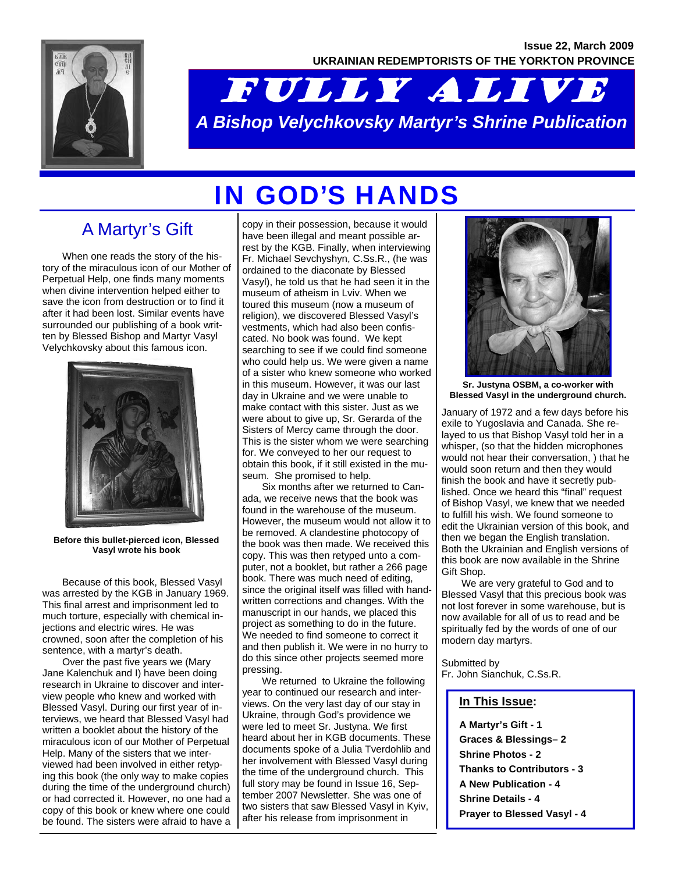**Issue 22, March 2009 UKRAINIAN REDEMPTORISTS OF THE YORKTON PROVINCE** 



# FULLY ALIVE *A Bishop Velychkovsky Martyr's Shrine Publication*

# IN GOD'S HANDS

## A Martyr's Gift

 When one reads the story of the history of the miraculous icon of our Mother of Perpetual Help, one finds many moments when divine intervention helped either to save the icon from destruction or to find it after it had been lost. Similar events have surrounded our publishing of a book written by Blessed Bishop and Martyr Vasyl Velychkovsky about this famous icon.



**Before this bullet-pierced icon, Blessed Vasyl wrote his book** 

 Because of this book, Blessed Vasyl was arrested by the KGB in January 1969. This final arrest and imprisonment led to much torture, especially with chemical injections and electric wires. He was crowned, soon after the completion of his sentence, with a martyr's death.

 Over the past five years we (Mary Jane Kalenchuk and I) have been doing research in Ukraine to discover and interview people who knew and worked with Blessed Vasyl. During our first year of interviews, we heard that Blessed Vasyl had written a booklet about the history of the miraculous icon of our Mother of Perpetual Help. Many of the sisters that we interviewed had been involved in either retyping this book (the only way to make copies during the time of the underground church) or had corrected it. However, no one had a copy of this book or knew where one could be found. The sisters were afraid to have a copy in their possession, because it would have been illegal and meant possible arrest by the KGB. Finally, when interviewing Fr. Michael Sevchyshyn, C.Ss.R., (he was ordained to the diaconate by Blessed Vasyl), he told us that he had seen it in the museum of atheism in Lviv. When we toured this museum (now a museum of religion), we discovered Blessed Vasyl's vestments, which had also been confiscated. No book was found. We kept searching to see if we could find someone who could help us. We were given a name of a sister who knew someone who worked in this museum. However, it was our last day in Ukraine and we were unable to make contact with this sister. Just as we were about to give up, Sr. Gerarda of the Sisters of Mercy came through the door. This is the sister whom we were searching for. We conveyed to her our request to obtain this book, if it still existed in the museum. She promised to help.

 Six months after we returned to Canada, we receive news that the book was found in the warehouse of the museum. However, the museum would not allow it to be removed. A clandestine photocopy of the book was then made. We received this copy. This was then retyped unto a computer, not a booklet, but rather a 266 page book. There was much need of editing, since the original itself was filled with handwritten corrections and changes. With the manuscript in our hands, we placed this project as something to do in the future. We needed to find someone to correct it and then publish it. We were in no hurry to do this since other projects seemed more pressing.

 We returned to Ukraine the following year to continued our research and interviews. On the very last day of our stay in Ukraine, through God's providence we were led to meet Sr. Justyna. We first heard about her in KGB documents. These documents spoke of a Julia Tverdohlib and her involvement with Blessed Vasyl during the time of the underground church. This full story may be found in Issue 16, September 2007 Newsletter. She was one of two sisters that saw Blessed Vasyl in Kyiv, after his release from imprisonment in



**Sr. Justyna OSBM, a co-worker with Blessed Vasyl in the underground church.** 

January of 1972 and a few days before his exile to Yugoslavia and Canada. She relayed to us that Bishop Vasyl told her in a whisper, (so that the hidden microphones would not hear their conversation, ) that he would soon return and then they would finish the book and have it secretly published. Once we heard this "final" request of Bishop Vasyl, we knew that we needed to fulfill his wish. We found someone to edit the Ukrainian version of this book, and then we began the English translation. Both the Ukrainian and English versions of this book are now available in the Shrine Gift Shop.

 We are very grateful to God and to Blessed Vasyl that this precious book was not lost forever in some warehouse, but is now available for all of us to read and be spiritually fed by the words of one of our modern day martyrs.

Submitted by Fr. John Sianchuk, C.Ss.R.

#### **In This Issue:**

**A Martyr's Gift - 1 Graces & Blessings– 2 Shrine Photos - 2 Thanks to Contributors - 3 A New Publication - 4 Shrine Details - 4 Prayer to Blessed Vasyl - 4**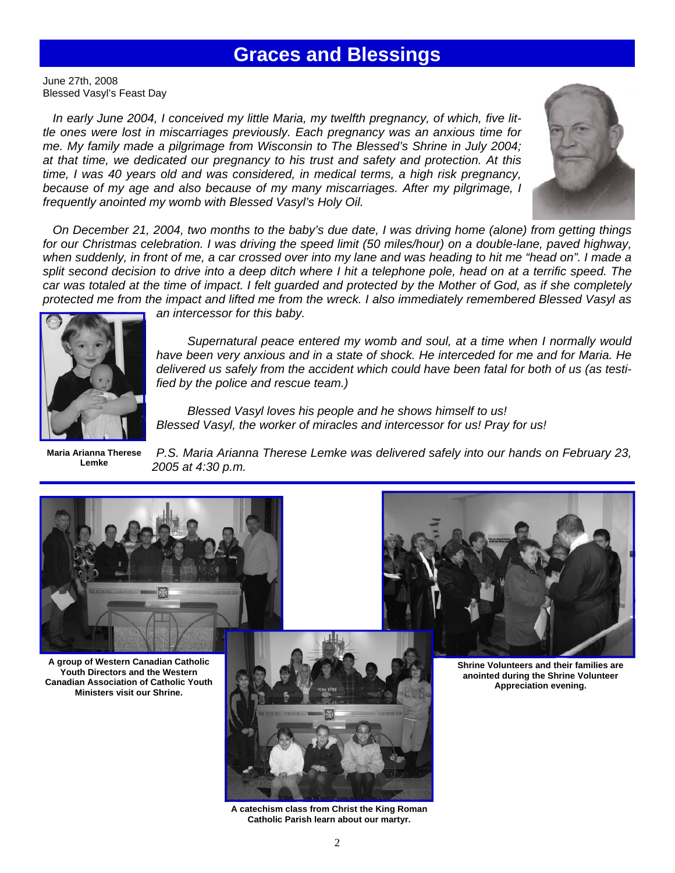## **Graces and Blessings**

June 27th, 2008 Blessed Vasyl's Feast Day

*In early June 2004, I conceived my little Maria, my twelfth pregnancy, of which, five little ones were lost in miscarriages previously. Each pregnancy was an anxious time for me. My family made a pilgrimage from Wisconsin to The Blessed's Shrine in July 2004; at that time, we dedicated our pregnancy to his trust and safety and protection. At this time, I was 40 years old and was considered, in medical terms, a high risk pregnancy, because of my age and also because of my many miscarriages. After my pilgrimage, I frequently anointed my womb with Blessed Vasyl's Holy Oil.* 



 *On December 21, 2004, two months to the baby's due date, I was driving home (alone) from getting things for our Christmas celebration. I was driving the speed limit (50 miles/hour) on a double-lane, paved highway, when suddenly, in front of me, a car crossed over into my lane and was heading to hit me "head on". I made a*  split second decision to drive into a deep ditch where I hit a telephone pole, head on at a terrific speed. The *car was totaled at the time of impact. I felt guarded and protected by the Mother of God, as if she completely protected me from the impact and lifted me from the wreck. I also immediately remembered Blessed Vasyl as* 



*an intercessor for this baby.* 

 *Supernatural peace entered my womb and soul, at a time when I normally would have been very anxious and in a state of shock. He interceded for me and for Maria. He delivered us safely from the accident which could have been fatal for both of us (as testified by the police and rescue team.)* 

 *Blessed Vasyl loves his people and he shows himself to us! Blessed Vasyl, the worker of miracles and intercessor for us! Pray for us!* 

**Maria Arianna Therese Lemke** 

*P.S. Maria Arianna Therese Lemke was delivered safely into our hands on February 23, 2005 at 4:30 p.m.* 



**Catholic Parish learn about our martyr.**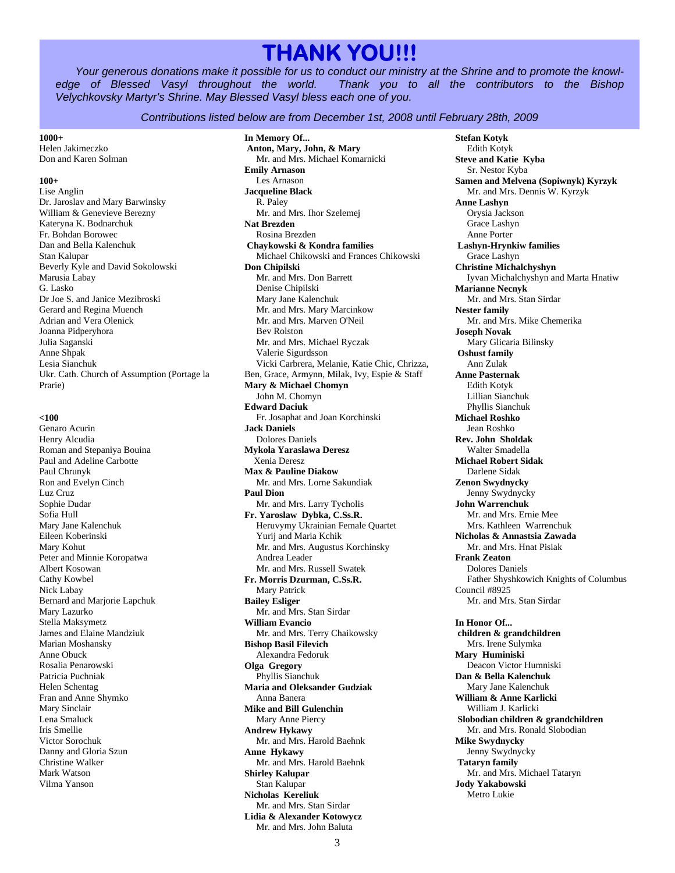## **THANK YOU!!!**

*Your generous donations make it possible for us to conduct our ministry at the Shrine and to promote the knowledge of Blessed Vasyl throughout the world. Thank you to all the contributors to the Bishop Velychkovsky Martyr's Shrine. May Blessed Vasyl bless each one of you.* 

#### *Contributions listed below are from December 1st, 2008 until February 28th, 2009*

#### **1000+**

Helen Jakimeczko Don and Karen Solman

#### **100+**

Lise Anglin Dr. Jaroslav and Mary Barwinsky William & Genevieve Berezny Kateryna K. Bodnarchuk Fr. Bohdan Borowec Dan and Bella Kalenchuk Stan Kalupar Beverly Kyle and David Sokolowski Marusia Labay G. Lasko Dr Joe S. and Janice Mezibroski Gerard and Regina Muench Adrian and Vera Olenick Joanna Pidperyhora Julia Saganski Anne Shpak Lesia Sianchuk Ukr. Cath. Church of Assumption (Portage la Prarie)

#### **<100**

Genaro Acurin Henry Alcudia Roman and Stepaniya Bouina Paul and Adeline Carbotte Paul Chrunyk Ron and Evelyn Cinch Luz Cruz Sophie Dudar Sofia Hull Mary Jane Kalenchuk Eileen Koberinski Mary Kohut Peter and Minnie Koropatwa Albert Kosowan Cathy Kowbel Nick Labay Bernard and Marjorie Lapchuk Mary Lazurko Stella Maksymetz James and Elaine Mandziuk Marian Moshansky Anne Obuck Rosalia Penarowski Patricia Puchniak Helen Schentag Fran and Anne Shymko Mary Sinclair Lena Smaluck Iris Smellie Victor Sorochuk Danny and Gloria Szun Christine Walker Mark Watson Vilma Yanson

**In Memory Of... Anton, Mary, John, & Mary**  Mr. and Mrs. Michael Komarnicki **Emily Arnason**  Les Arnason **Jacqueline Black**  R. Paley Mr. and Mrs. Ihor Szelemej **Nat Brezden**  Rosina Brezden  **Chaykowski & Kondra families**  Michael Chikowski and Frances Chikowski **Don Chipilski**  Mr. and Mrs. Don Barrett Denise Chipilski Mary Jane Kalenchuk Mr. and Mrs. Mary Marcinkow Mr. and Mrs. Marven O'Neil Bev Rolston Mr. and Mrs. Michael Ryczak Valerie Sigurdsson Vicki Carbrera, Melanie, Katie Chic, Chrizza, Ben, Grace, Armynn, Milak, Ivy, Espie & Staff **Mary & Michael Chomyn**  John M. Chomyn **Edward Daciuk**  Fr. Josaphat and Joan Korchinski **Jack Daniels**  Dolores Daniels **Mykola Yaraslawa Deresz**  Xenia Deresz **Max & Pauline Diakow**  Mr. and Mrs. Lorne Sakundiak **Paul Dion**  Mr. and Mrs. Larry Tycholis **Fr. Yaroslaw Dybka, C.Ss.R.**  Heruvymy Ukrainian Female Quartet Yurij and Maria Kchik Mr. and Mrs. Augustus Korchinsky Andrea Leader Mr. and Mrs. Russell Swatek **Fr. Morris Dzurman, C.Ss.R.**  Mary Patrick **Bailey Esliger**  Mr. and Mrs. Stan Sirdar **William Evancio**  Mr. and Mrs. Terry Chaikowsky **Bishop Basil Filevich**  Alexandra Fedoruk **Olga Gregory**  Phyllis Sianchuk **Maria and Oleksander Gudziak**  Anna Banera **Mike and Bill Gulenchin**  Mary Anne Piercy **Andrew Hykawy**  Mr. and Mrs. Harold Baehnk **Anne Hykawy**  Mr. and Mrs. Harold Baehnk **Shirley Kalupar**  Stan Kalupar **Nicholas Kereliuk**  Mr. and Mrs. Stan Sirdar **Lidia & Alexander Kotowycz**  Mr. and Mrs. John Baluta

**Stefan Kotyk**  Edith Kotyk **Steve and Katie Kyba**  Sr. Nestor Kyba **Samen and Melvena (Sopiwnyk) Kyrzyk**  Mr. and Mrs. Dennis W. Kyrzyk **Anne Lashyn**  Orysia Jackson Grace Lashyn Anne Porter  **Lashyn-Hrynkiw families**  Grace Lashyn **Christine Michalchyshyn**  Iyvan Michalchyshyn and Marta Hnatiw **Marianne Necnyk**  Mr. and Mrs. Stan Sirdar **Nester family**  Mr. and Mrs. Mike Chemerika **Joseph Novak**  Mary Glicaria Bilinsky  **Oshust family**  Ann Zulak **Anne Pasternak**  Edith Kotyk Lillian Sianchuk Phyllis Sianchuk **Michael Roshko**  Jean Roshko **Rev. John Sholdak**  Walter Smadella **Michael Robert Sidak**  Darlene Sidak **Zenon Swydnycky**  Jenny Swydnycky **John Warrenchuk**  Mr. and Mrs. Ernie Mee Mrs. Kathleen Warrenchuk **Nicholas & Annastsia Zawada**  Mr. and Mrs. Hnat Pisiak **Frank Zeaton**  Dolores Daniels Father Shyshkowich Knights of Columbus Council #8925 Mr. and Mrs. Stan Sirdar **In Honor Of... children & grandchildren**  Mrs. Irene Sulymka **Mary Huminiski**  Deacon Victor Humniski

**Dan & Bella Kalenchuk**  Mary Jane Kalenchuk **William & Anne Karlicki**  William J. Karlicki

**Mike Swydnycky**  Jenny Swydnycky  **Tataryn family** 

**Jody Yakabowski**  Metro Lukie

 **Slobodian children & grandchildren**  Mr. and Mrs. Ronald Slobodian

Mr. and Mrs. Michael Tataryn